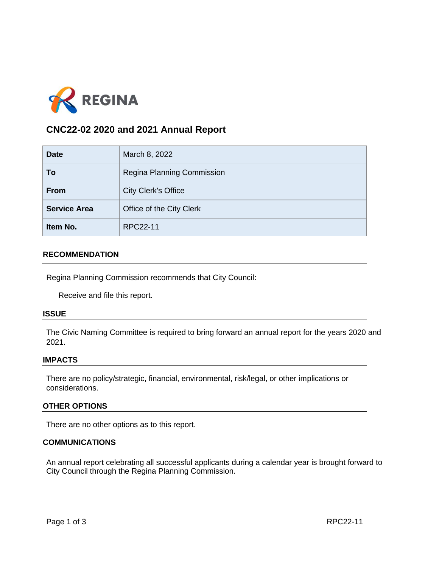

# **CNC22-02 2020 and 2021 Annual Report**

| <b>Date</b>         | March 8, 2022              |
|---------------------|----------------------------|
| To                  | Regina Planning Commission |
| <b>From</b>         | <b>City Clerk's Office</b> |
| <b>Service Area</b> | Office of the City Clerk   |
| Item No.            | RPC22-11                   |

## **RECOMMENDATION**

Regina Planning Commission recommends that City Council:

Receive and file this report.

#### **ISSUE**

The Civic Naming Committee is required to bring forward an annual report for the years 2020 and 2021.

## **IMPACTS**

There are no policy/strategic, financial, environmental, risk/legal, or other implications or considerations.

## **OTHER OPTIONS**

There are no other options as to this report.

#### **COMMUNICATIONS**

An annual report celebrating all successful applicants during a calendar year is brought forward to City Council through the Regina Planning Commission.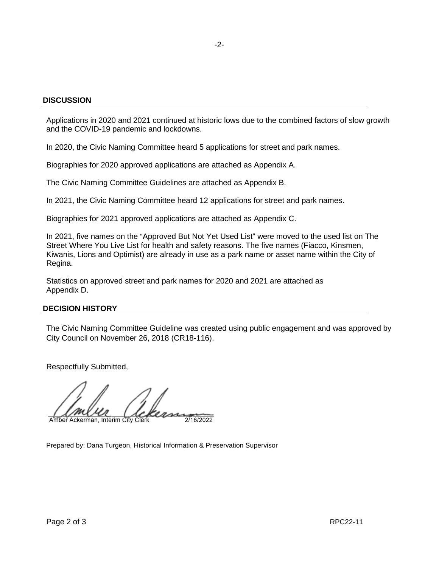## **DISCUSSION**

Applications in 2020 and 2021 continued at historic lows due to the combined factors of slow growth and the COVID-19 pandemic and lockdowns.

In 2020, the Civic Naming Committee heard 5 applications for street and park names.

Biographies for 2020 approved applications are attached as Appendix A.

The Civic Naming Committee Guidelines are attached as Appendix B.

In 2021, the Civic Naming Committee heard 12 applications for street and park names.

Biographies for 2021 approved applications are attached as Appendix C.

In 2021, five names on the "Approved But Not Yet Used List" were moved to the used list on The Street Where You Live List for health and safety reasons. The five names (Fiacco, Kinsmen, Kiwanis, Lions and Optimist) are already in use as a park name or asset name within the City of Regina.

Statistics on approved street and park names for 2020 and 2021 are attached as Appendix D.

## **DECISION HISTORY**

The Civic Naming Committee Guideline was created using public engagement and was approved by City Council on November 26, 2018 (CR18-116).

Respectfully Submitted,

 $2/16/2022$ Amber Ackerman, Interim City Clerk

Prepared by: Dana Turgeon, Historical Information & Preservation Supervisor